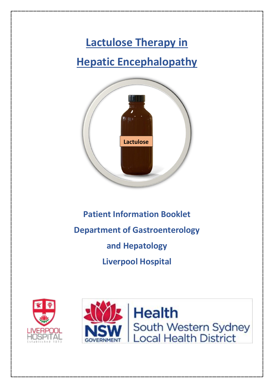# **Lactulose Therapy in Hepatic Encephalopathy**



## **Patient Information Booklet Department of Gastroenterology and Hepatology Liverpool Hospital**



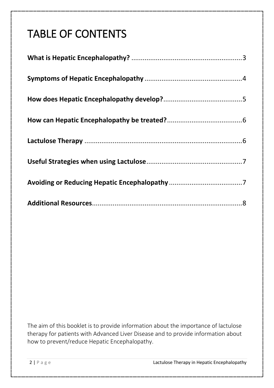## TABLE OF CONTENTS

The aim of this booklet is to provide information about the importance of lactulose therapy for patients with Advanced Liver Disease and to provide information about how to prevent/reduce Hepatic Encephalopathy.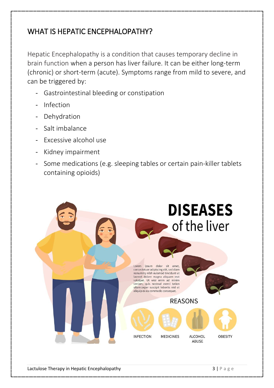#### <span id="page-2-0"></span>WHAT IS HEPATIC ENCEPHALOPATHY?

Hepatic Encephalopathy is a condition that causes temporary decline in brain function when a person has liver failure. It can be either long-term (chronic) or short-term (acute). Symptoms range from mild to severe, and can be triggered by:

- Gastrointestinal bleeding or constipation
- Infection
- Dehydration
- Salt imbalance
- Excessive alcohol use
- Kidney impairment
- Some medications (e.g. sleeping tables or certain pain-killer tablets containing opioids)

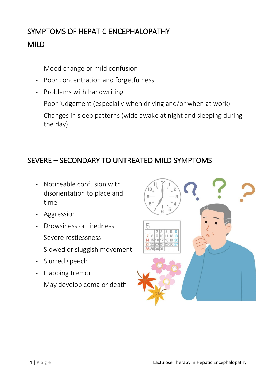### <span id="page-3-0"></span>SYMPTOMS OF HEPATIC ENCEPHALOPATHY MILD

- Mood change or mild confusion
- Poor concentration and forgetfulness
- Problems with handwriting
- Poor judgement (especially when driving and/or when at work)
- Changes in sleep patterns (wide awake at night and sleeping during the day)

#### SEVERE – SECONDARY TO UNTREATED MILD SYMPTOMS

- Noticeable confusion with disorientation to place and time
- Aggression
- Drowsiness or tiredness
- Severe restlessness
- Slowed or sluggish movement
- Slurred speech
- Flapping tremor
- May develop coma or death

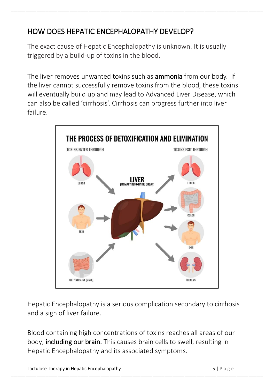#### <span id="page-4-0"></span>HOW DOES HEPATIC ENCEPHALOPATHY DEVELOP?

The exact cause of Hepatic Encephalopathy is unknown. It is usually triggered by a build-up of toxins in the blood.

The liver removes unwanted toxins such as **ammonia** from our body. If the liver cannot successfully remove toxins from the blood, these toxins will eventually build up and may lead to Advanced Liver Disease, which can also be called 'cirrhosis'. Cirrhosis can progress further into liver failure.



Hepatic Encephalopathy is a serious complication secondary to cirrhosis and a sign of liver failure.

Blood containing high concentrations of toxins reaches all areas of our body, including our brain. This causes brain cells to swell, resulting in Hepatic Encephalopathy and its associated symptoms.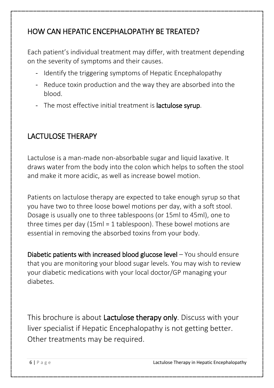#### <span id="page-5-0"></span>HOW CAN HEPATIC ENCEPHALOPATHY BE TREATED?

Each patient's individual treatment may differ, with treatment depending on the severity of symptoms and their causes.

- Identify the triggering symptoms of Hepatic Encephalopathy
- Reduce toxin production and the way they are absorbed into the blood.
- The most effective initial treatment is **lactulose syrup**.

#### <span id="page-5-1"></span>LACTULOSE THERAPY

Lactulose is a man-made non-absorbable sugar and liquid laxative. It draws water from the body into the colon which helps to soften the stool and make it more acidic, as well as increase bowel motion.

Patients on lactulose therapy are expected to take enough syrup so that you have two to three loose bowel motions per day, with a soft stool. Dosage is usually one to three tablespoons (or 15ml to 45ml), one to three times per day (15ml = 1 tablespoon). These bowel motions are essential in removing the absorbed toxins from your body.

Diabetic patients with increased blood glucose level – You should ensure that you are monitoring your blood sugar levels. You may wish to review your diabetic medications with your local doctor/GP managing your diabetes.

This brochure is about Lactulose therapy only. Discuss with your liver specialist if Hepatic Encephalopathy is not getting better. Other treatments may be required.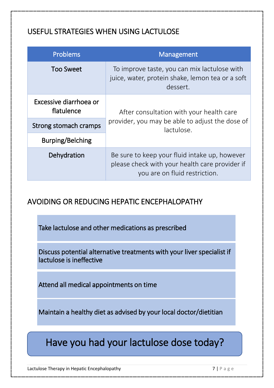#### <span id="page-6-0"></span>USEFUL STRATEGIES WHEN USING LACTULOSE

| <b>Problems</b>                      | Management                                                                                                                       |
|--------------------------------------|----------------------------------------------------------------------------------------------------------------------------------|
| <b>Too Sweet</b>                     | To improve taste, you can mix lactulose with<br>juice, water, protein shake, lemon tea or a soft<br>dessert.                     |
| Excessive diarrhoea or<br>flatulence | After consultation with your health care<br>provider, you may be able to adjust the dose of<br>lactulose.                        |
| Strong stomach cramps                |                                                                                                                                  |
| Burping/Belching                     |                                                                                                                                  |
| Dehydration                          | Be sure to keep your fluid intake up, however<br>please check with your health care provider if<br>you are on fluid restriction. |

#### <span id="page-6-1"></span>AVOIDING OR REDUCING HEPATIC ENCEPHALOPATHY

Take lactulose and other medications as prescribed

Discuss potential alternative treatments with your liver specialist if lactulose is ineffective

Attend all medical appointments on time

Maintain a healthy diet as advised by your local doctor/dietitian

### Have you had your lactulose dose today?

Lactulose Therapy in Hepatic Encephalopathy **7** | P a g e